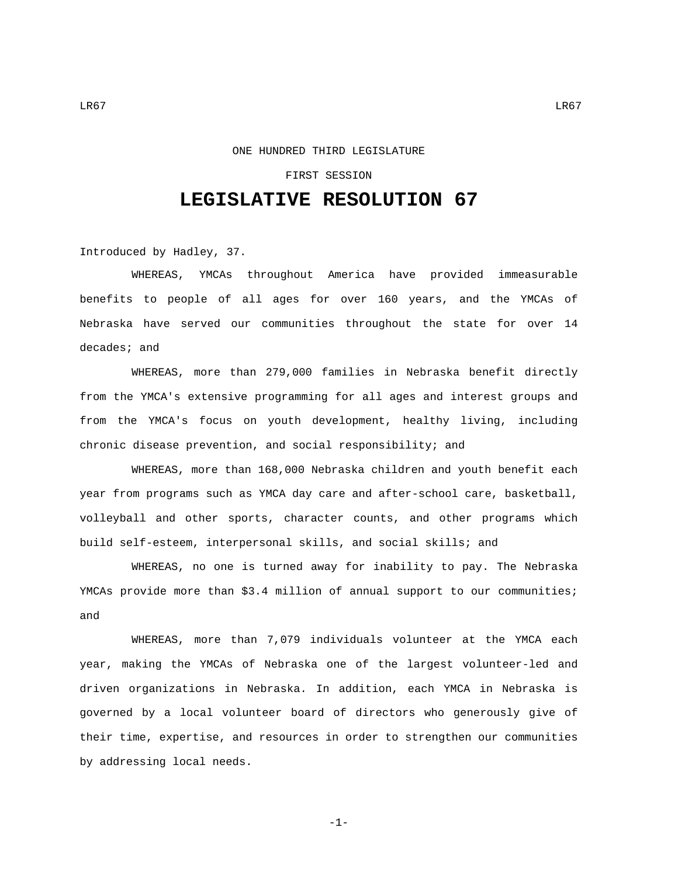## ONE HUNDRED THIRD LEGISLATURE

## FIRST SESSION

## **LEGISLATIVE RESOLUTION 67**

Introduced by Hadley, 37.

WHEREAS, YMCAs throughout America have provided immeasurable benefits to people of all ages for over 160 years, and the YMCAs of Nebraska have served our communities throughout the state for over 14 decades; and

WHEREAS, more than 279,000 families in Nebraska benefit directly from the YMCA's extensive programming for all ages and interest groups and from the YMCA's focus on youth development, healthy living, including chronic disease prevention, and social responsibility; and

WHEREAS, more than 168,000 Nebraska children and youth benefit each year from programs such as YMCA day care and after-school care, basketball, volleyball and other sports, character counts, and other programs which build self-esteem, interpersonal skills, and social skills; and

WHEREAS, no one is turned away for inability to pay. The Nebraska YMCAs provide more than \$3.4 million of annual support to our communities; and

WHEREAS, more than 7,079 individuals volunteer at the YMCA each year, making the YMCAs of Nebraska one of the largest volunteer-led and driven organizations in Nebraska. In addition, each YMCA in Nebraska is governed by a local volunteer board of directors who generously give of their time, expertise, and resources in order to strengthen our communities by addressing local needs.